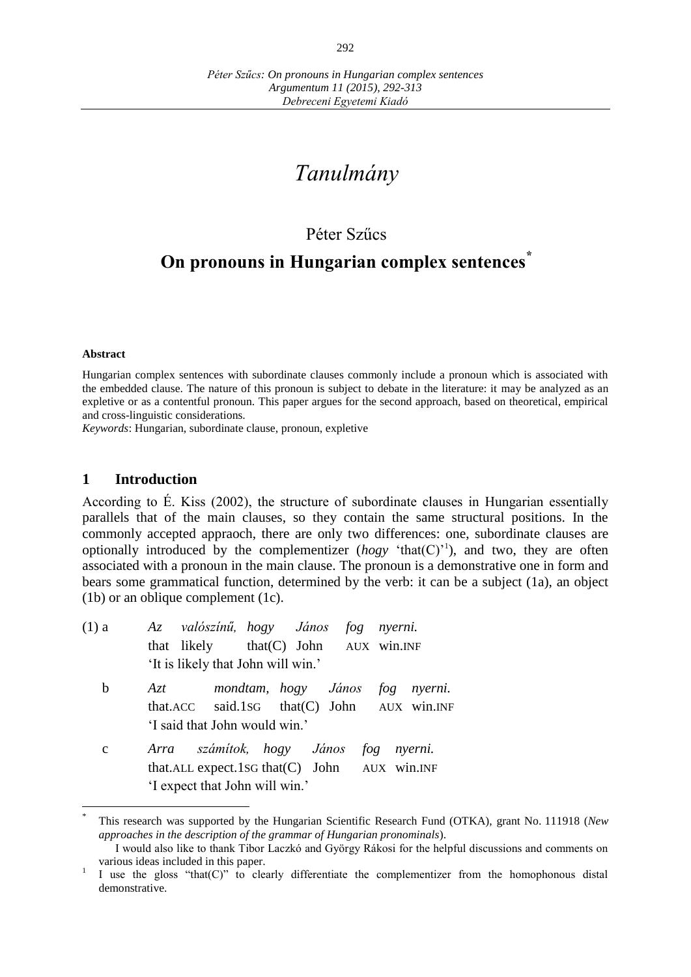# *Tanulmány*

## Péter Szűcs

## **On pronouns in Hungarian complex sentences\***

#### **Abstract**

Hungarian complex sentences with subordinate clauses commonly include a pronoun which is associated with the embedded clause. The nature of this pronoun is subject to debate in the literature: it may be analyzed as an expletive or as a contentful pronoun. This paper argues for the second approach, based on theoretical, empirical and cross-linguistic considerations.

*Keywords*: Hungarian, subordinate clause, pronoun, expletive

#### **1 Introduction**

According to É. Kiss (2002), the structure of subordinate clauses in Hungarian essentially parallels that of the main clauses, so they contain the same structural positions. In the commonly accepted appraoch, there are only two differences: one, subordinate clauses are optionally introduced by the complementizer  $(hogy 'that(C)')$ , and two, they are often associated with a pronoun in the main clause. The pronoun is a demonstrative one in form and bears some grammatical function, determined by the verb: it can be a subject (1a), an object (1b) or an oblique complement (1c).

| $(1)$ a     | Az valószínű, hogy János fog nyerni.            |  |  |  |  |  |  |
|-------------|-------------------------------------------------|--|--|--|--|--|--|
|             | that likely $that(C)$ John $AUX$ win. INF       |  |  |  |  |  |  |
|             | 'It is likely that John will win.'              |  |  |  |  |  |  |
| b           | mondtam, hogy János fog nyerni.<br>Azt          |  |  |  |  |  |  |
|             | that.ACC said.1sG that(C) John AUX win.INF      |  |  |  |  |  |  |
|             | 'I said that John would win.'                   |  |  |  |  |  |  |
| $\mathbf c$ | Arra számítok, hogy János fog nyerni.           |  |  |  |  |  |  |
|             | that.ALL expect.1sG that $(C)$ John AUX win.INF |  |  |  |  |  |  |
|             | 'I expect that John will win.'                  |  |  |  |  |  |  |
|             |                                                 |  |  |  |  |  |  |

<sup>\*</sup> This research was supported by the Hungarian Scientific Research Fund (OTKA), grant No. 111918 (*New approaches in the description of the grammar of Hungarian pronominals*).

I would also like to thank Tibor Laczkó and György Rákosi for the helpful discussions and comments on various ideas included in this paper.

<sup>1</sup> I use the gloss "that(C)" to clearly differentiate the complementizer from the homophonous distal demonstrative.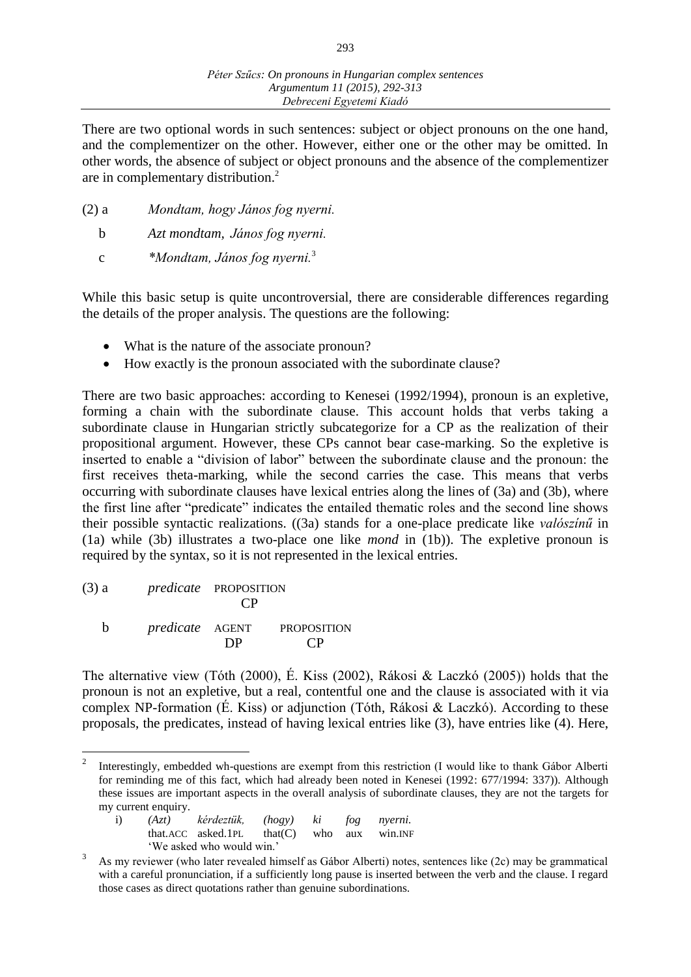293

There are two optional words in such sentences: subject or object pronouns on the one hand, and the complementizer on the other. However, either one or the other may be omitted. In other words, the absence of subject or object pronouns and the absence of the complementizer are in complementary distribution.<sup>2</sup>

- (2) a *Mondtam, hogy János fog nyerni.*
	- b *Azt mondtam, János fog nyerni.*
	- c *\*Mondtam, János fog nyerni.*<sup>3</sup>

While this basic setup is quite uncontroversial, there are considerable differences regarding the details of the proper analysis. The questions are the following:

- What is the nature of the associate pronoun?
- How exactly is the pronoun associated with the subordinate clause?

There are two basic approaches: according to Kenesei (1992/1994), pronoun is an expletive, forming a chain with the subordinate clause. This account holds that verbs taking a subordinate clause in Hungarian strictly subcategorize for a CP as the realization of their propositional argument. However, these CPs cannot bear case-marking. So the expletive is inserted to enable a "division of labor" between the subordinate clause and the pronoun: the first receives theta-marking, while the second carries the case. This means that verbs occurring with subordinate clauses have lexical entries along the lines of (3a) and (3b), where the first line after "predicate" indicates the entailed thematic roles and the second line shows their possible syntactic realizations. ((3a) stands for a one-place predicate like *valószínű* in (1a) while (3b) illustrates a two-place one like *mond* in (1b)). The expletive pronoun is required by the syntax, so it is not represented in the lexical entries.

(3) a *predicate* PROPOSITION CP

 $\overline{a}$ 

b *predicate* AGENT PROPOSITION DP CP

The alternative view (Tóth (2000), É. Kiss (2002), Rákosi & Laczkó (2005)) holds that the pronoun is not an expletive, but a real, contentful one and the clause is associated with it via complex NP-formation (É. Kiss) or adjunction (Tóth, Rákosi & Laczkó). According to these proposals, the predicates, instead of having lexical entries like (3), have entries like (4). Here,

<sup>2</sup> Interestingly, embedded wh-questions are exempt from this restriction (I would like to thank Gábor Alberti for reminding me of this fact, which had already been noted in Kenesei (1992: 677/1994: 337)). Although these issues are important aspects in the overall analysis of subordinate clauses, they are not the targets for my current enquiry.

|  | i) (Azt) kérdeztük, (hogy) ki fog nyerni.     |  |  |
|--|-----------------------------------------------|--|--|
|  | that.ACC asked.1PL that $(C)$ who aux win.INF |  |  |
|  | 'We asked who would win.'                     |  |  |
|  |                                               |  |  |

<sup>3</sup> As my reviewer (who later revealed himself as Gábor Alberti) notes, sentences like (2c) may be grammatical with a careful pronunciation, if a sufficiently long pause is inserted between the verb and the clause. I regard those cases as direct quotations rather than genuine subordinations.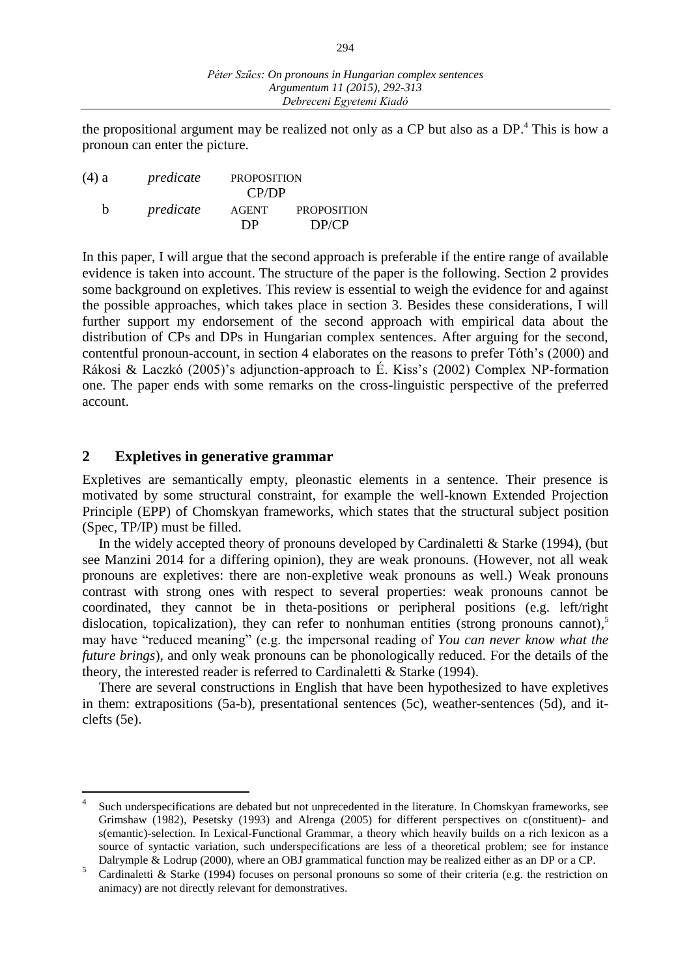the propositional argument may be realized not only as a CP but also as a DP. <sup>4</sup> This is how a pronoun can enter the picture.

| $(4)$ a | predicate | <b>PROPOSITION</b> |                    |
|---------|-----------|--------------------|--------------------|
|         |           | CP/DP              |                    |
| h       | predicate | <b>AGENT</b>       | <b>PROPOSITION</b> |
|         |           | DP                 | DP/CP              |

In this paper, I will argue that the second approach is preferable if the entire range of available evidence is taken into account. The structure of the paper is the following. Section 2 provides some background on expletives. This review is essential to weigh the evidence for and against the possible approaches, which takes place in section 3. Besides these considerations, I will further support my endorsement of the second approach with empirical data about the distribution of CPs and DPs in Hungarian complex sentences. After arguing for the second, contentful pronoun-account, in section 4 elaborates on the reasons to prefer Tóth's (2000) and Rákosi & Laczkó (2005)'s adjunction-approach to É. Kiss's (2002) Complex NP-formation one. The paper ends with some remarks on the cross-linguistic perspective of the preferred account.

#### **2 Expletives in generative grammar**

 $\overline{a}$ 

Expletives are semantically empty, pleonastic elements in a sentence. Their presence is motivated by some structural constraint, for example the well-known Extended Projection Principle (EPP) of Chomskyan frameworks, which states that the structural subject position (Spec, TP/IP) must be filled.

In the widely accepted theory of pronouns developed by Cardinaletti & Starke (1994), (but see Manzini 2014 for a differing opinion), they are weak pronouns. (However, not all weak pronouns are expletives: there are non-expletive weak pronouns as well.) Weak pronouns contrast with strong ones with respect to several properties: weak pronouns cannot be coordinated, they cannot be in theta-positions or peripheral positions (e.g. left/right dislocation, topicalization), they can refer to nonhuman entities (strong pronouns cannot),<sup>5</sup> may have "reduced meaning" (e.g. the impersonal reading of *You can never know what the future brings*), and only weak pronouns can be phonologically reduced. For the details of the theory, the interested reader is referred to Cardinaletti & Starke (1994).

There are several constructions in English that have been hypothesized to have expletives in them: extrapositions (5a-b), presentational sentences (5c), weather-sentences (5d), and itclefts (5e).

<sup>4</sup> Such underspecifications are debated but not unprecedented in the literature. In Chomskyan frameworks, see Grimshaw (1982), Pesetsky (1993) and Alrenga (2005) for different perspectives on c(onstituent)- and s(emantic)-selection. In Lexical-Functional Grammar, a theory which heavily builds on a rich lexicon as a source of syntactic variation, such underspecifications are less of a theoretical problem; see for instance Dalrymple & Lodrup (2000), where an OBJ grammatical function may be realized either as an DP or a CP.

<sup>5</sup> Cardinaletti & Starke (1994) focuses on personal pronouns so some of their criteria (e.g. the restriction on animacy) are not directly relevant for demonstratives.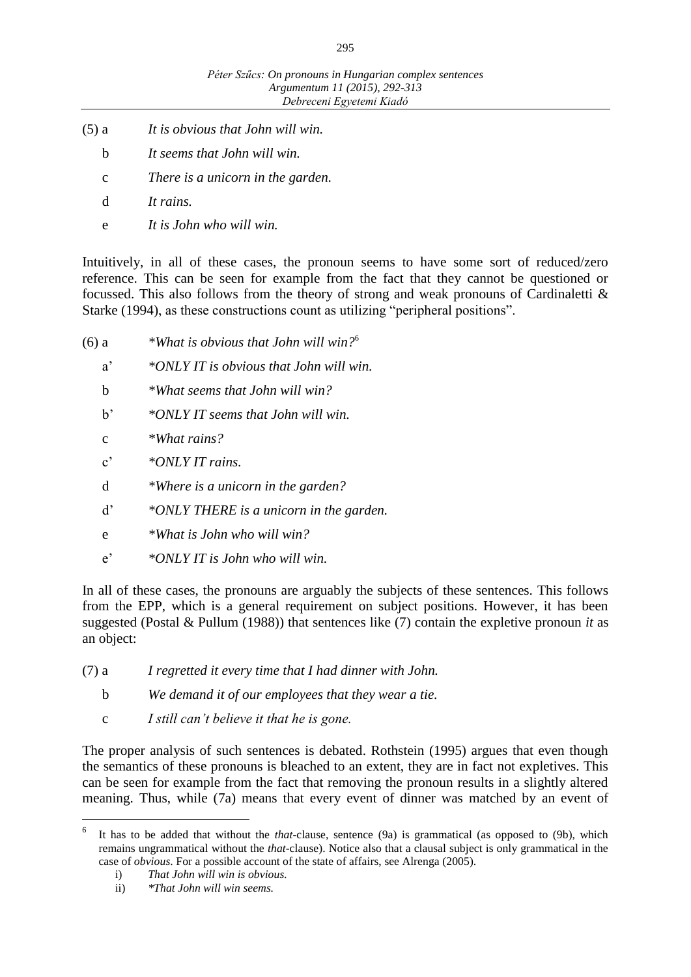- (5) a *It is obvious that John will win.*
	- b *It seems that John will win.*
	- c *There is a unicorn in the garden.*
	- d *It rains.*
	- e *It is John who will win.*

Intuitively, in all of these cases, the pronoun seems to have some sort of reduced/zero reference. This can be seen for example from the fact that they cannot be questioned or focussed. This also follows from the theory of strong and weak pronouns of Cardinaletti & Starke (1994), as these constructions count as utilizing "peripheral positions".

- (6) a *\*What is obvious that John will win?*<sup>6</sup>
	- a' *\*ONLY IT is obvious that John will win.*
	- b *\*What seems that John will win?*
	- b' *\*ONLY IT seems that John will win.*
	- c *\*What rains?*
	- c' *\*ONLY IT rains.*
	- d *\*Where is a unicorn in the garden?*
	- d' *\*ONLY THERE is a unicorn in the garden.*
	- e *\*What is John who will win?*
	- e' *\*ONLY IT is John who will win.*

In all of these cases, the pronouns are arguably the subjects of these sentences. This follows from the EPP, which is a general requirement on subject positions. However, it has been suggested (Postal & Pullum (1988)) that sentences like (7) contain the expletive pronoun *it* as an object:

- (7) a *I regretted it every time that I had dinner with John.*
	- b *We demand it of our employees that they wear a tie.*
	- c *I still can't believe it that he is gone.*

The proper analysis of such sentences is debated. Rothstein (1995) argues that even though the semantics of these pronouns is bleached to an extent, they are in fact not expletives. This can be seen for example from the fact that removing the pronoun results in a slightly altered meaning. Thus, while (7a) means that every event of dinner was matched by an event of

 $\overline{a}$ 

<sup>6</sup> It has to be added that without the *that*-clause, sentence (9a) is grammatical (as opposed to (9b), which remains ungrammatical without the *that*-clause). Notice also that a clausal subject is only grammatical in the case of *obvious*. For a possible account of the state of affairs, see Alrenga (2005).

i) *That John will win is obvious.*

ii) *\*That John will win seems.*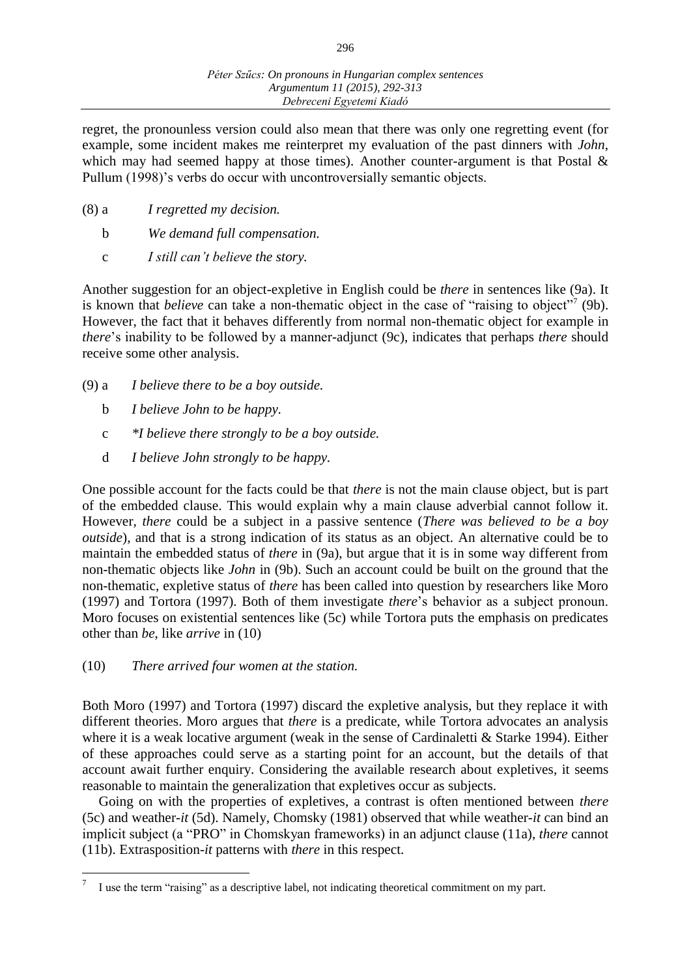regret, the pronounless version could also mean that there was only one regretting event (for example, some incident makes me reinterpret my evaluation of the past dinners with *John*, which may had seemed happy at those times). Another counter-argument is that Postal  $\&$ Pullum (1998)'s verbs do occur with uncontroversially semantic objects.

- (8) a *I regretted my decision.*
	- b *We demand full compensation.*
	- c *I still can't believe the story.*

Another suggestion for an object-expletive in English could be *there* in sentences like (9a). It is known that *believe* can take a non-thematic object in the case of "raising to object"<sup>7</sup> (9b). However, the fact that it behaves differently from normal non-thematic object for example in *there*'s inability to be followed by a manner-adjunct (9c), indicates that perhaps *there* should receive some other analysis.

- (9) a *I believe there to be a boy outside.*
	- b *I believe John to be happy.*
	- c *\*I believe there strongly to be a boy outside.*
	- d *I believe John strongly to be happy.*

One possible account for the facts could be that *there* is not the main clause object, but is part of the embedded clause. This would explain why a main clause adverbial cannot follow it. However, *there* could be a subject in a passive sentence (*There was believed to be a boy outside*), and that is a strong indication of its status as an object. An alternative could be to maintain the embedded status of *there* in (9a), but argue that it is in some way different from non-thematic objects like *John* in (9b). Such an account could be built on the ground that the non-thematic, expletive status of *there* has been called into question by researchers like Moro (1997) and Tortora (1997). Both of them investigate *there*'s behavior as a subject pronoun. Moro focuses on existential sentences like (5c) while Tortora puts the emphasis on predicates other than *be*, like *arrive* in (10)

(10) *There arrived four women at the station.*

 $\overline{a}$ 

Both Moro (1997) and Tortora (1997) discard the expletive analysis, but they replace it with different theories. Moro argues that *there* is a predicate, while Tortora advocates an analysis where it is a weak locative argument (weak in the sense of Cardinaletti & Starke 1994). Either of these approaches could serve as a starting point for an account, but the details of that account await further enquiry. Considering the available research about expletives, it seems reasonable to maintain the generalization that expletives occur as subjects.

Going on with the properties of expletives, a contrast is often mentioned between *there* (5c) and weather-*it* (5d). Namely, Chomsky (1981) observed that while weather-*it* can bind an implicit subject (a "PRO" in Chomskyan frameworks) in an adjunct clause (11a), *there* cannot (11b). Extrasposition-*it* patterns with *there* in this respect.

<sup>7</sup> I use the term "raising" as a descriptive label, not indicating theoretical commitment on my part.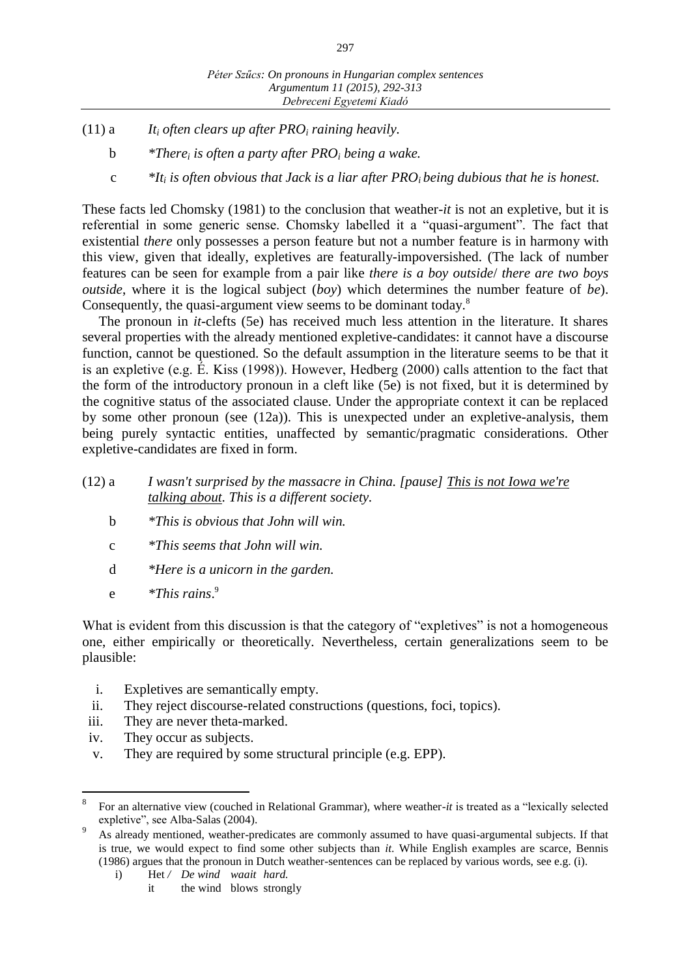- (11) a *It<sup>i</sup> often clears up after PRO<sup>i</sup> raining heavily.*
	- b *\*There<sup>i</sup> is often a party after PRO<sup>i</sup> being a wake.*
	- c *\*It<sup>i</sup> is often obvious that Jack is a liar after PROi being dubious that he is honest.*

These facts led Chomsky (1981) to the conclusion that weather-*it* is not an expletive, but it is referential in some generic sense. Chomsky labelled it a "quasi-argument". The fact that existential *there* only possesses a person feature but not a number feature is in harmony with this view, given that ideally, expletives are featurally-impoversished. (The lack of number features can be seen for example from a pair like *there is a boy outside*/ *there are two boys outside*, where it is the logical subject (*boy*) which determines the number feature of *be*). Consequently, the quasi-argument view seems to be dominant today.<sup>8</sup>

The pronoun in *it*-clefts (5e) has received much less attention in the literature. It shares several properties with the already mentioned expletive-candidates: it cannot have a discourse function, cannot be questioned. So the default assumption in the literature seems to be that it is an expletive (e.g. É. Kiss (1998)). However, Hedberg (2000) calls attention to the fact that the form of the introductory pronoun in a cleft like (5e) is not fixed, but it is determined by the cognitive status of the associated clause. Under the appropriate context it can be replaced by some other pronoun (see (12a)). This is unexpected under an expletive-analysis, them being purely syntactic entities, unaffected by semantic/pragmatic considerations. Other expletive-candidates are fixed in form.

- (12) a *I wasn't surprised by the massacre in China. [pause] This is not Iowa we're talking about. This is a different society.*
	- b *\*This is obvious that John will win.*
	- c *\*This seems that John will win.*
	- d *\*Here is a unicorn in the garden.*
	- e *\*This rains*. 9

What is evident from this discussion is that the category of "expletives" is not a homogeneous one, either empirically or theoretically. Nevertheless, certain generalizations seem to be plausible:

- i. Expletives are semantically empty.
- ii. They reject discourse-related constructions (questions, foci, topics).
- iii. They are never theta-marked.
- iv. They occur as subjects.

 $\overline{a}$ 

v. They are required by some structural principle (e.g. EPP).

i) Het / *De wind waait hard.* 

<sup>8</sup> For an alternative view (couched in Relational Grammar), where weather-*it* is treated as a "lexically selected expletive", see Alba-Salas (2004).

As already mentioned, weather-predicates are commonly assumed to have quasi-argumental subjects. If that is true, we would expect to find some other subjects than *it*. While English examples are scarce, Bennis (1986) argues that the pronoun in Dutch weather-sentences can be replaced by various words, see e.g. (i).

it the wind blows strongly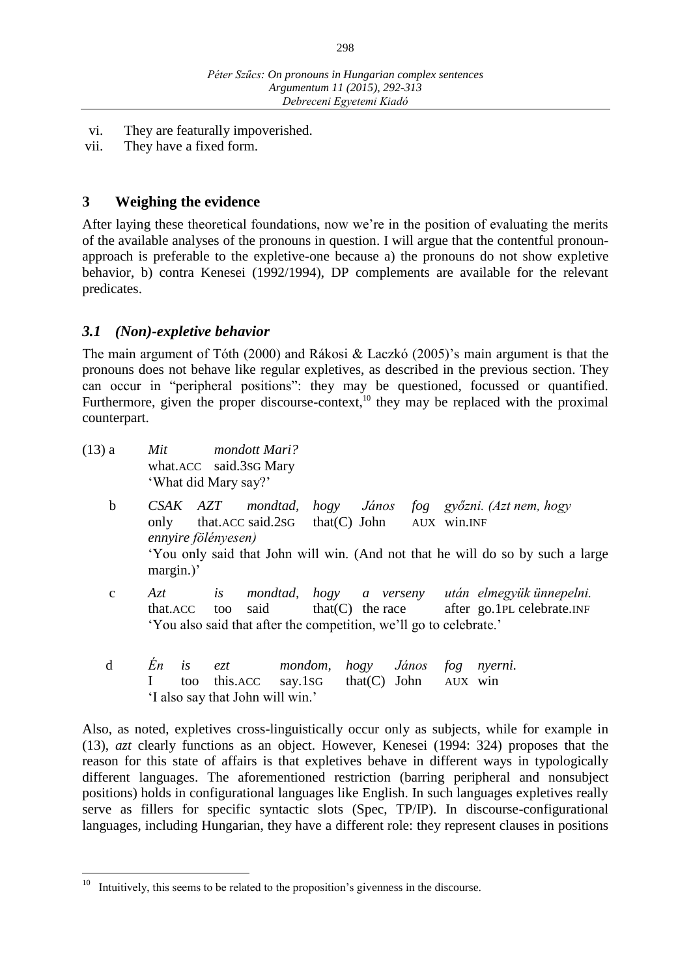- vi. They are featurally impoverished.
- vii. They have a fixed form.

## **3 Weighing the evidence**

After laying these theoretical foundations, now we're in the position of evaluating the merits of the available analyses of the pronouns in question. I will argue that the contentful pronounapproach is preferable to the expletive-one because a) the pronouns do not show expletive behavior, b) contra Kenesei (1992/1994), DP complements are available for the relevant predicates.

## *3.1 (Non)-expletive behavior*

The main argument of Tóth (2000) and Rákosi & Laczkó (2005)'s main argument is that the pronouns does not behave like regular expletives, as described in the previous section. They can occur in "peripheral positions": they may be questioned, focussed or quantified. Furthermore, given the proper discourse-context,<sup>10</sup> they may be replaced with the proximal counterpart.

- (13) a *Mit mondott Mari?* what.ACC said.3SG Mary 'What did Mary say?'
	- b *CSAK AZT mondtad, hogy János fog győzni. (Azt nem, hogy*  only that.ACC said.2SG that(C) John AUX win.INF *ennyire fölényesen)* 'You only said that John will win. (And not that he will do so by such a large margin.)'
	- c *Azt is mondtad, hogy a verseny után elmegyük ünnepelni.* that.ACC too said that(C) the race after go.1PL celebrate.INF 'You also said that after the competition, we'll go to celebrate.'
	- d *Én is ezt mondom, hogy János fog nyerni.* I too this.ACC say.1SG that(C) John AUX win 'I also say that John will win.'

Also, as noted, expletives cross-linguistically occur only as subjects, while for example in (13), *azt* clearly functions as an object. However, Kenesei (1994: 324) proposes that the reason for this state of affairs is that expletives behave in different ways in typologically different languages. The aforementioned restriction (barring peripheral and nonsubject positions) holds in configurational languages like English. In such languages expletives really serve as fillers for specific syntactic slots (Spec, TP/IP). In discourse-configurational languages, including Hungarian, they have a different role: they represent clauses in positions

 $10\,$ Intuitively, this seems to be related to the proposition's givenness in the discourse.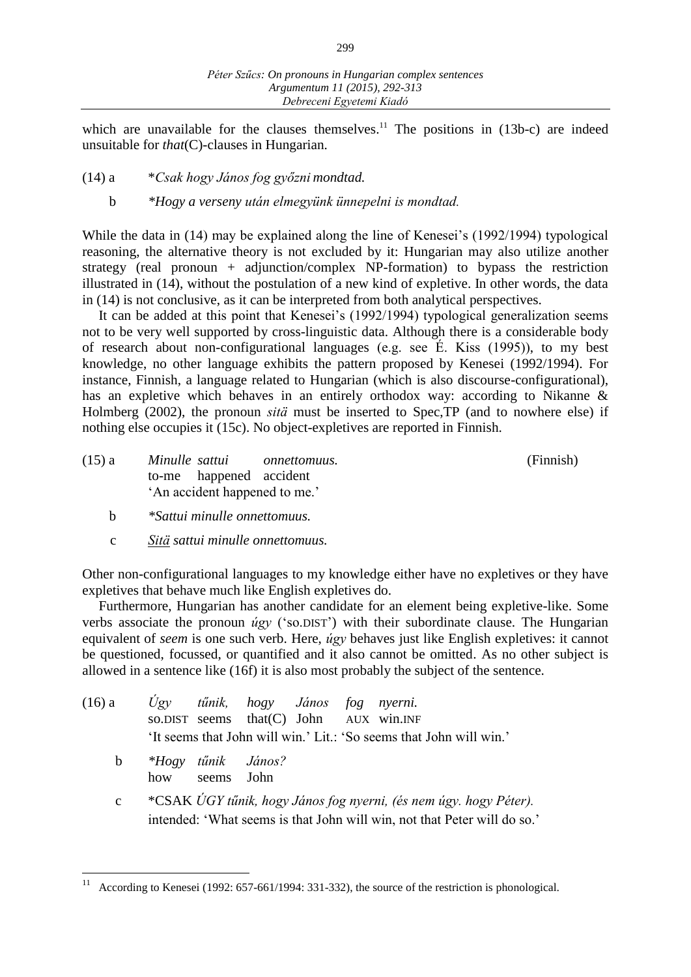which are unavailable for the clauses themselves.<sup>11</sup> The positions in  $(13b-c)$  are indeed unsuitable for *that*(C)-clauses in Hungarian.

- (14) a \**Csak hogy János fog győzni mondtad.*
	- b *\*Hogy a verseny után elmegyünk ünnepelni is mondtad.*

While the data in (14) may be explained along the line of Kenesei's (1992/1994) typological reasoning, the alternative theory is not excluded by it: Hungarian may also utilize another strategy (real pronoun + adjunction/complex NP-formation) to bypass the restriction illustrated in (14), without the postulation of a new kind of expletive. In other words, the data in (14) is not conclusive, as it can be interpreted from both analytical perspectives.

It can be added at this point that Kenesei's (1992/1994) typological generalization seems not to be very well supported by cross-linguistic data. Although there is a considerable body of research about non-configurational languages (e.g. see É. Kiss (1995)), to my best knowledge, no other language exhibits the pattern proposed by Kenesei (1992/1994). For instance, Finnish, a language related to Hungarian (which is also discourse-configurational), has an expletive which behaves in an entirely orthodox way: according to Nikanne & Holmberg (2002), the pronoun *sitä* must be inserted to Spec,TP (and to nowhere else) if nothing else occupies it (15c). No object-expletives are reported in Finnish.

| $(15)$ a | Minulle sattui                |                         | onnettomuus. | (Finnish) |
|----------|-------------------------------|-------------------------|--------------|-----------|
|          |                               | to-me happened accident |              |           |
|          | 'An accident happened to me.' |                         |              |           |

- b *\*Sattui minulle onnettomuus.*
- c *Sitä sattui minulle onnettomuus.*

Other non-configurational languages to my knowledge either have no expletives or they have expletives that behave much like English expletives do.

Furthermore, Hungarian has another candidate for an element being expletive-like. Some verbs associate the pronoun *úgy* ('so.DIST') with their subordinate clause. The Hungarian equivalent of *seem* is one such verb. Here, *úgy* behaves just like English expletives: it cannot be questioned, focussed, or quantified and it also cannot be omitted. As no other subject is allowed in a sentence like (16f) it is also most probably the subject of the sentence.

| $(16)$ a    |     | Ugy tűnik, hogy János fog nyerni. |      |  | so.DIST seems that(C) John AUX win.INF                                                                                                        |
|-------------|-----|-----------------------------------|------|--|-----------------------------------------------------------------------------------------------------------------------------------------------|
|             |     |                                   |      |  | 'It seems that John will win.' Lit.: 'So seems that John will win.'                                                                           |
| $\mathbf b$ | how | *Hogy tűnik János?<br>seems       | John |  |                                                                                                                                               |
| $\mathbf c$ |     |                                   |      |  | *CSAK ÚGY tűnik, hogy János fog nyerni, (és nem úgy. hogy Péter).<br>intended: 'What seems is that John will win, not that Peter will do so.' |

 $11\,$ According to Kenesei (1992: 657-661/1994: 331-332), the source of the restriction is phonological.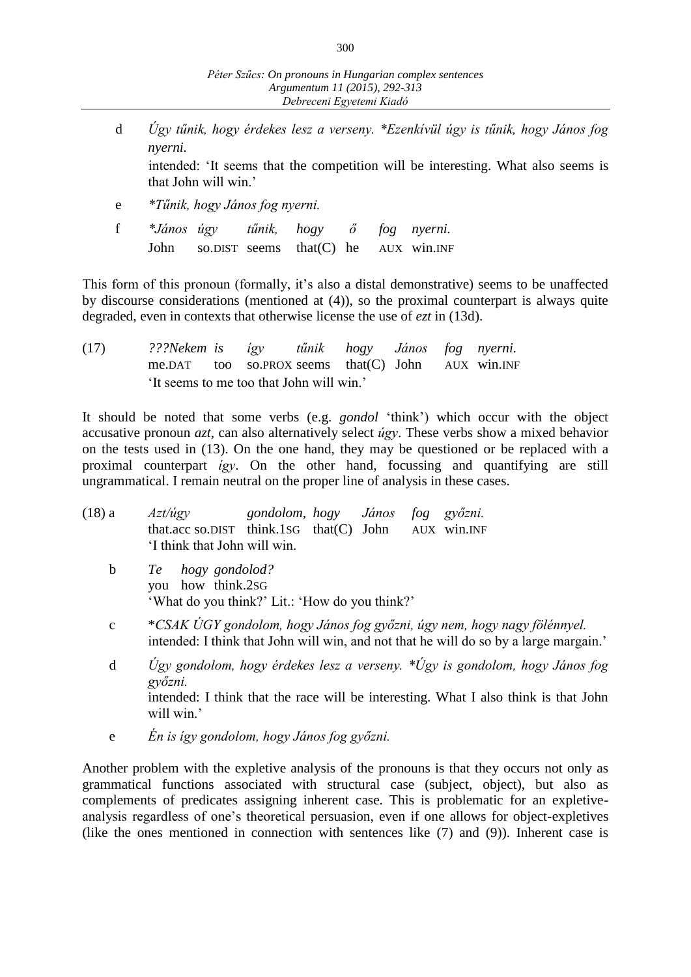d *Úgy tűnik, hogy érdekes lesz a verseny. \*Ezenkívül úgy is tűnik, hogy János fog nyerni.*

intended: 'It seems that the competition will be interesting. What also seems is that John will win.'

- e *\*Tűnik, hogy János fog nyerni.*
- f *\*János úgy tűnik, hogy ő fog nyerni.* John so.DIST seems that(C) he AUX win.INF

This form of this pronoun (formally, it's also a distal demonstrative) seems to be unaffected by discourse considerations (mentioned at (4)), so the proximal counterpart is always quite degraded, even in contexts that otherwise license the use of *ezt* in (13d).

(17) *???Nekem is így tűnik hogy János fog nyerni.* me.DAT too so.PROX seems that  $(C)$  John AUX win. INF 'It seems to me too that John will win.'

It should be noted that some verbs (e.g. *gondol* 'think') which occur with the object accusative pronoun *azt,* can also alternatively select *úgy*. These verbs show a mixed behavior on the tests used in (13). On the one hand, they may be questioned or be replaced with a proximal counterpart *így*. On the other hand, focussing and quantifying are still ungrammatical. I remain neutral on the proper line of analysis in these cases.

| $(18)$ a     | gondolom, hogy János<br>Azt/úgy<br>fog<br>győzni.<br>that.acc so.DIST think.1sG that $(C)$ John AUX win.INF<br>'I think that John will win.                                                 |  |  |  |  |  |  |
|--------------|---------------------------------------------------------------------------------------------------------------------------------------------------------------------------------------------|--|--|--|--|--|--|
| $\mathbf b$  | Te hogy gondolod?<br>you how think.2sG<br>'What do you think?' Lit.: 'How do you think?'                                                                                                    |  |  |  |  |  |  |
| $\mathbf{C}$ | *CSAK ÚGY gondolom, hogy János fog győzni, úgy nem, hogy nagy fölénnyel.<br>intended: I think that John will win, and not that he will do so by a large margain.'                           |  |  |  |  |  |  |
| d            | Ugy gondolom, hogy érdekes lesz a verseny. *Ugy is gondolom, hogy János fog<br>győzni.<br>intended: I think that the race will be interesting. What I also think is that John<br>will win.' |  |  |  |  |  |  |

e *Én is így gondolom, hogy János fog győzni.*

Another problem with the expletive analysis of the pronouns is that they occurs not only as grammatical functions associated with structural case (subject, object), but also as complements of predicates assigning inherent case. This is problematic for an expletiveanalysis regardless of one's theoretical persuasion, even if one allows for object-expletives (like the ones mentioned in connection with sentences like (7) and (9)). Inherent case is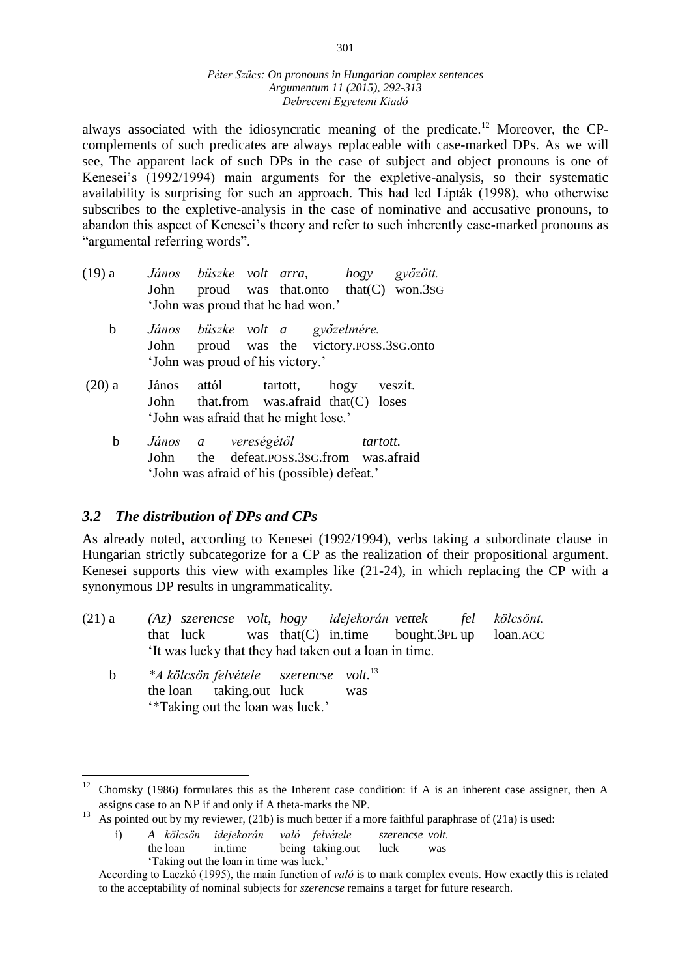always associated with the idiosyncratic meaning of the predicate.<sup>12</sup> Moreover, the CPcomplements of such predicates are always replaceable with case-marked DPs. As we will see, The apparent lack of such DPs in the case of subject and object pronouns is one of Kenesei's (1992/1994) main arguments for the expletive-analysis, so their systematic availability is surprising for such an approach. This had led Lipták (1998), who otherwise subscribes to the expletive-analysis in the case of nominative and accusative pronouns, to abandon this aspect of Kenesei's theory and refer to such inherently case-marked pronouns as "argumental referring words".

| $(19)$ a |                                   |  |  | János büszke volt arra, hogy győzött.       |  |  |  |
|----------|-----------------------------------|--|--|---------------------------------------------|--|--|--|
|          |                                   |  |  | John proud was that onto that $(C)$ won.3sG |  |  |  |
|          | 'John was proud that he had won.' |  |  |                                             |  |  |  |

- b *János büszke volt a győzelmére.* John proud was the victory.POSS.3SG.onto 'John was proud of his victory.'
- (20) a János attól tartott, hogy veszít. John that.from was.afraid that(C) loses 'John was afraid that he might lose.'
	- b *János a vereségétől tartott.* John the defeat.POSS.3SG.from was.afraid 'John was afraid of his (possible) defeat.'

## *3.2 The distribution of DPs and CPs*

As already noted, according to Kenesei (1992/1994), verbs taking a subordinate clause in Hungarian strictly subcategorize for a CP as the realization of their propositional argument. Kenesei supports this view with examples like (21-24), in which replacing the CP with a synonymous DP results in ungrammaticality.

| $(21)$ a |  |  | (Az) szerencse volt, hogy idejekorán vettek fel kölcsönt. |  |  |
|----------|--|--|-----------------------------------------------------------|--|--|
|          |  |  | that luck was that $(C)$ in time bought. 3PL up loan. ACC |  |  |
|          |  |  | It was lucky that they had taken out a loan in time.      |  |  |

 b *\*A kölcsön felvétele szerencse volt.*<sup>13</sup> the loan taking.out luck was '\*Taking out the loan was luck.'

 $\overline{a}$ <sup>12</sup> Chomsky (1986) formulates this as the Inherent case condition: if A is an inherent case assigner, then A assigns case to an NP if and only if A theta-marks the NP.

<sup>13</sup> As pointed out by my reviewer, (21b) is much better if a more faithful paraphrase of (21a) is used:

i) *A kölcsön idejekorán való felvétele szerencse volt.* the loan in.time being taking.out luck was 'Taking out the loan in time was luck.'

According to Laczkó (1995), the main function of *való* is to mark complex events. How exactly this is related to the acceptability of nominal subjects for *szerencse* remains a target for future research.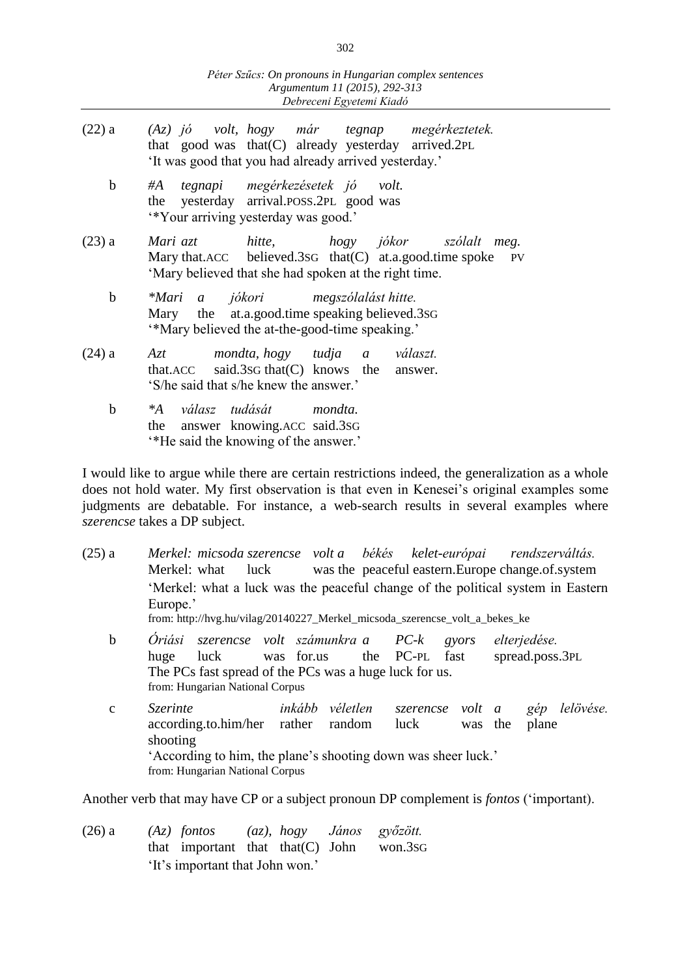| $(22)$ a    | $(Az)$ jó volt, hogy már tegnap megérkeztetek.<br>that good was that (C) already yesterday arrived.2PL<br>'It was good that you had already arrived yesterday.'   |
|-------------|-------------------------------------------------------------------------------------------------------------------------------------------------------------------|
| $\mathbf b$ | tegnapi megérkezésetek jó volt.<br>#A<br>the yesterday arrival.POSS.2PL good was<br>"Your arriving yesterday was good."                                           |
| $(23)$ a    | Mari azt hitte, hogy jókor szólalt meg.<br>Mary that.ACC believed.3sG that $(C)$ at.a.good.time spoke PV<br>'Mary believed that she had spoken at the right time. |
| $\mathbf b$ | *Mari a jókori megszólalást hitte.<br>Mary the at.a.good.time speaking believed.3sG<br>"Mary believed the at-the-good-time speaking."                             |
| $(24)$ a    | mondta, hogy tudja a választ.<br>Azt<br>that.ACC said.3sG that $(C)$ knows the answer.<br>'S/he said that s/he knew the answer.'                                  |
| $\mathbf b$ | válasz tudását mondta.<br>$^*A$<br>the answer knowing. ACC said. 3sG                                                                                              |

'\*He said the knowing of the answer.'

I would like to argue while there are certain restrictions indeed, the generalization as a whole does not hold water. My first observation is that even in Kenesei's original examples some judgments are debatable. For instance, a web-search results in several examples where *szerencse* takes a DP subject.

| $(25)$ a     | Merkel: micsoda szerencse volt a békés kelet-európai rendszerváltás.<br>Merkel: what<br>luck<br>'Merkel: what a luck was the peaceful change of the political system in Eastern<br>Europe.'<br>from: http://hvg.hu/vilag/20140227_Merkel_micsoda_szerencse_volt_a_bekes_ke |                                 | was the peaceful eastern. Europe change of system |                             |                                 |                    |
|--------------|----------------------------------------------------------------------------------------------------------------------------------------------------------------------------------------------------------------------------------------------------------------------------|---------------------------------|---------------------------------------------------|-----------------------------|---------------------------------|--------------------|
| $\mathbf b$  | Óriási<br>luck was for.us<br>huge<br>The PCs fast spread of the PCs was a huge luck for us.<br>from: Hungarian National Corpus                                                                                                                                             | szerencse volt számunkra a PC-k | the PC-PL fast                                    | gyors                       | elterjedése.<br>spread.poss.3PL |                    |
| $\mathbf{C}$ | <i>Szerinte</i><br>according.to.him/her rather<br>shooting<br>'According to him, the plane's shooting down was sheer luck.'<br>from: Hungarian National Corpus                                                                                                             | inkább véletlen<br>random       | luck                                              | szerencse volt a<br>was the | gép                             | lelövése.<br>plane |

Another verb that may have CP or a subject pronoun DP complement is *fontos* ('important).

(26) a *(Az) fontos (az), hogy János győzött.* that important that that(C) John won.3SG 'It's important that John won.'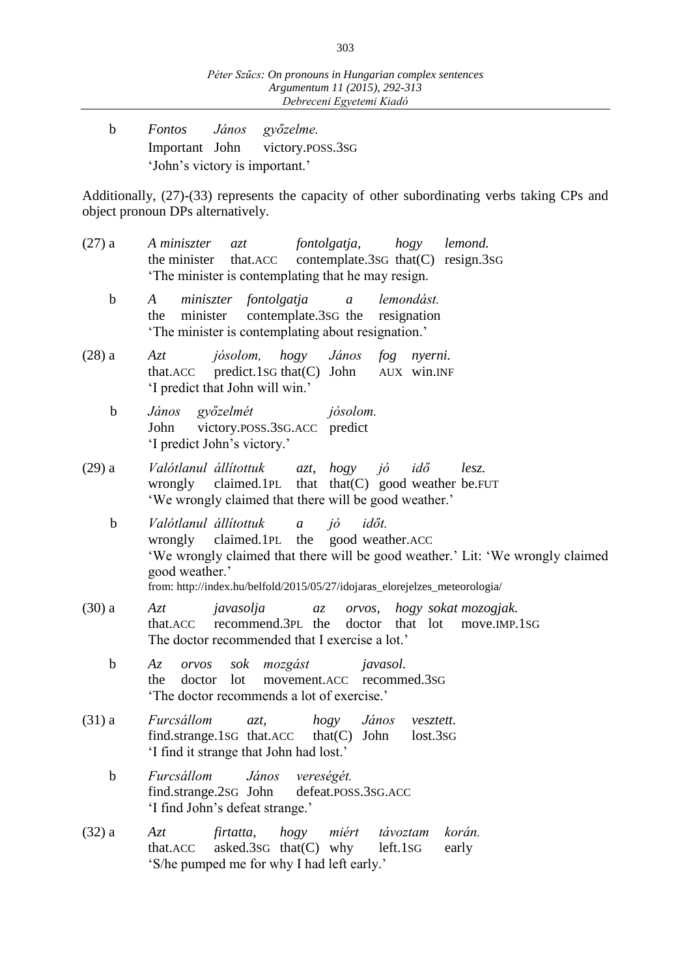b *Fontos János győzelme.* Important John victory.POSS.3SG 'John's victory is important.'

Additionally, (27)-(33) represents the capacity of other subordinating verbs taking CPs and object pronoun DPs alternatively.

- (27) a *A miniszter azt fontolgatja, hogy lemond.* the minister that.ACC contemplate.3SG that(C) resign.3SG 'The minister is contemplating that he may resign.
	- b *A miniszter fontolgatja a lemondást.* the minister contemplate.3SG the resignation 'The minister is contemplating about resignation.'
- (28) a *Azt jósolom, hogy János fog nyerni.* that.ACC predict.1SG that(C) John AUX win.INF 'I predict that John will win.'
	- b *János győzelmét jósolom.* John victory.POSS.3SG.ACC predict 'I predict John's victory.'
- (29) a *Valótlanul állítottuk azt, hogy jó idő lesz.* wrongly claimed.1PL that that(C) good weather be.FUT 'We wrongly claimed that there will be good weather.'
	- b *Valótlanul állítottuk a jó időt.* wrongly claimed.1PL the good weather.ACC 'We wrongly claimed that there will be good weather.' Lit: 'We wrongly claimed good weather.' from: http://index.hu/belfold/2015/05/27/idojaras\_elorejelzes\_meteorologia/
- (30) a *Azt javasolja az orvos, hogy sokat mozogjak.* that.ACC recommend.3PL the doctor that lot move.IMP.1SG The doctor recommended that I exercise a lot.'
	- b *Az orvos sok mozgást javasol.* the doctor lot movement.ACC recommed.3SG 'The doctor recommends a lot of exercise.'
- (31) a *Furcsállom azt, hogy János vesztett.* find.strange.1sG that.ACC that $(C)$  John lost.3sG 'I find it strange that John had lost.'
	- b *Furcsállom János vereségét.* find.strange.2SG John defeat.POSS.3SG.ACC 'I find John's defeat strange.'
- (32) a *Azt firtatta, hogy miért távoztam korán.* that.ACC asked.3SG that(C) why left.1SG early 'S/he pumped me for why I had left early.'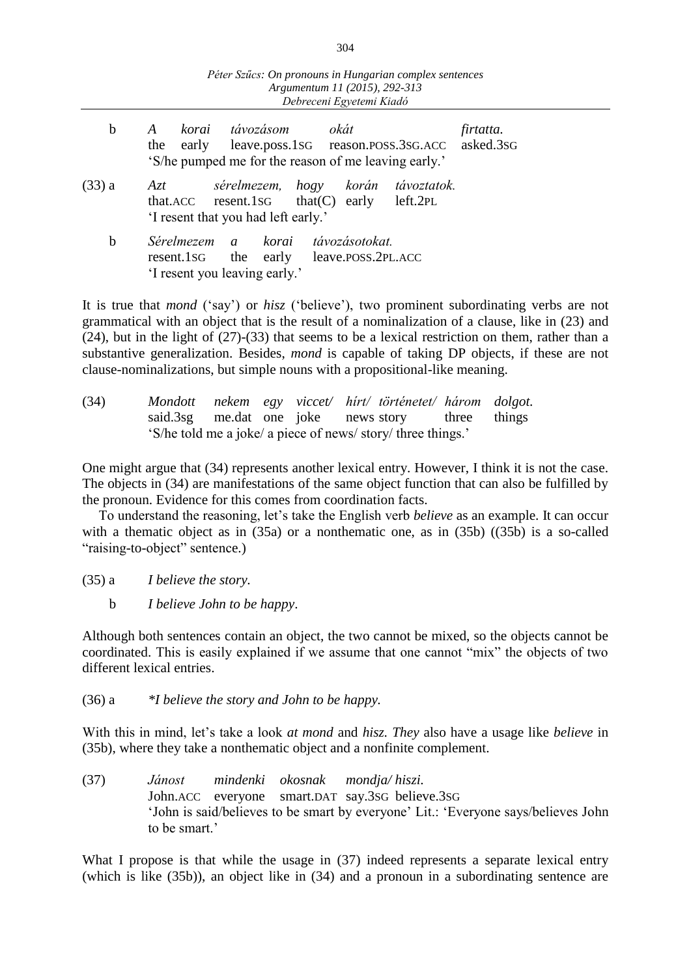| $\mathbf b$ | korai távozásom                                                                                               | okát                               | firtatta. |
|-------------|---------------------------------------------------------------------------------------------------------------|------------------------------------|-----------|
|             | the early leave.poss.1sG reason.poss.3sG.ACC asked.3sG                                                        |                                    |           |
|             | 'S/he pumped me for the reason of me leaving early.'                                                          |                                    |           |
| $(33)$ a    | Azt<br>that.ACC resent.1sG that(C) early left.2PL<br>'I resent that you had left early.'                      | sérelmezem, hogy korán távoztatok. |           |
| b           | Sérelmezem a korai távozásotokat.<br>resent.1sG the early leave.poss.2PL.ACC<br>'I resent you leaving early.' |                                    |           |

It is true that *mond* ('say') or *hisz* ('believe'), two prominent subordinating verbs are not grammatical with an object that is the result of a nominalization of a clause, like in (23) and (24), but in the light of (27)-(33) that seems to be a lexical restriction on them, rather than a substantive generalization. Besides, *mond* is capable of taking DP objects, if these are not clause-nominalizations, but simple nouns with a propositional-like meaning.

| (34) |  |  | Mondott nekem egy viccet/ hírt/ történetet/ három dolgot.    |  |
|------|--|--|--------------------------------------------------------------|--|
|      |  |  | said.3sg me.dat one joke news story three things             |  |
|      |  |  | 'S/he told me a joke/ a piece of news/ story/ three things.' |  |

One might argue that (34) represents another lexical entry. However, I think it is not the case. The objects in (34) are manifestations of the same object function that can also be fulfilled by the pronoun. Evidence for this comes from coordination facts.

To understand the reasoning, let's take the English verb *believe* as an example. It can occur with a thematic object as in (35a) or a nonthematic one, as in (35b) ((35b) is a so-called "raising-to-object" sentence.)

(35) a *I believe the story.*

b *I believe John to be happy*.

Although both sentences contain an object, the two cannot be mixed, so the objects cannot be coordinated. This is easily explained if we assume that one cannot "mix" the objects of two different lexical entries.

(36) a *\*I believe the story and John to be happy.*

With this in mind, let's take a look *at mond* and *hisz. They* also have a usage like *believe* in (35b), where they take a nonthematic object and a nonfinite complement.

(37) *Jánost mindenki okosnak mondja/ hiszi.* John.ACC everyone smart.DAT say.3SG believe.3SG 'John is said/believes to be smart by everyone' Lit.: 'Everyone says/believes John to be smart.'

What I propose is that while the usage in  $(37)$  indeed represents a separate lexical entry (which is like (35b)), an object like in (34) and a pronoun in a subordinating sentence are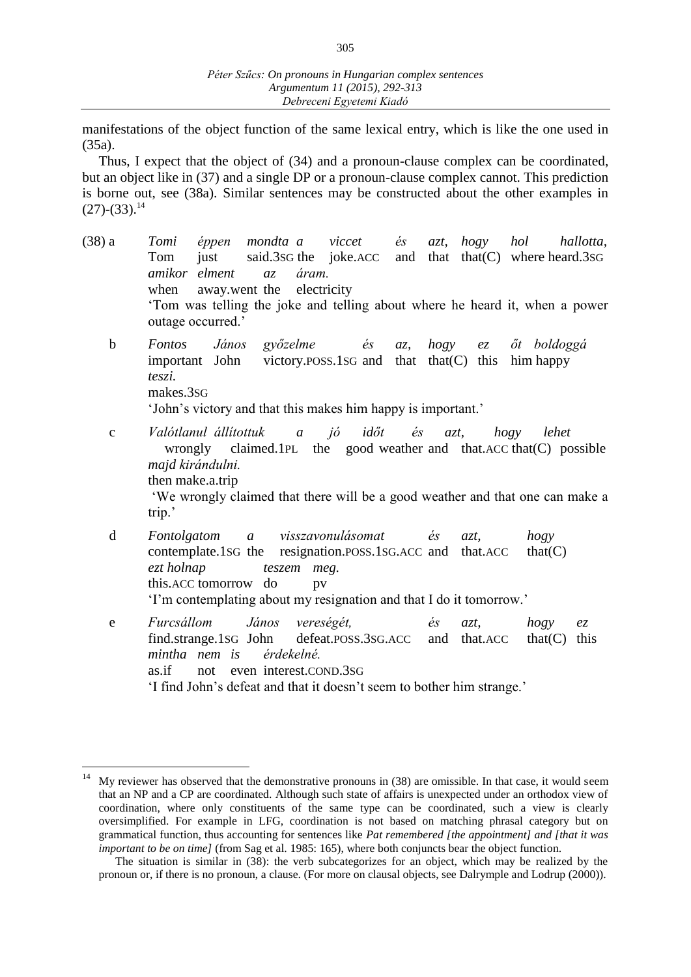manifestations of the object function of the same lexical entry, which is like the one used in (35a).

Thus, I expect that the object of (34) and a pronoun-clause complex can be coordinated, but an object like in (37) and a single DP or a pronoun-clause complex cannot. This prediction is borne out, see (38a). Similar sentences may be constructed about the other examples in  $(27)$ - $(33)$ .<sup>14</sup>

| $(38)$ a    | $\acute{\e}$ s<br>Tomi<br>éppen mondta a viccet<br>azt,<br>hogy hol<br>hallotta,<br>just said.3sG the joke.ACC and that that (C) where heard.3sG<br>Tom<br>amikor elment<br>áram.<br>az<br>when away.went the electricity<br>'Tom was telling the joke and telling about where he heard it, when a power<br>outage occurred.' |
|-------------|-------------------------------------------------------------------------------------------------------------------------------------------------------------------------------------------------------------------------------------------------------------------------------------------------------------------------------|
| $\mathbf b$ | János győzelme<br>az, hogy ez őt boldoggá<br>Fontos<br>$\acute{e}s$<br>important John victory.POSS.1SG and that that(C) this him happy<br>teszi.<br>makes.3sG<br>'John's victory and that this makes him happy is important.'                                                                                                 |
| $\mathbf C$ | Valótlanul állítottuk a jó időt és azt,<br>hogy<br>lehet<br>wrongly claimed.1PL the good weather and that.ACC that(C) possible<br>majd kirándulni.<br>then make.a.trip<br>'We wrongly claimed that there will be a good weather and that one can make a<br>trip.'                                                             |
| $\mathbf d$ | Fontolgatom a visszavonulásomat és<br>hogy<br>azt,<br>contemplate.1sG the resignation.poss.1sG.ACC and that.ACC<br>that(C)<br>ezt holnap<br>teszem meg.<br>this.ACC tomorrow do<br>pv<br>'I'm contemplating about my resignation and that I do it tomorrow.'                                                                  |
| e           | János<br>Furcsállom<br>vereségét,<br>$\acute{e}s$<br>hogy<br>$azt$ ,<br>e z<br>find.strange.1sG John defeat.poss.3sG.ACC and that.ACC<br>that(C)<br>this<br>mintha nem is<br>érdekelné.<br>not even interest.COND.3sG<br>as.if<br>'I find John's defeat and that it doesn't seem to bother him strange.'                      |

 $\overline{a}$ 

<sup>&</sup>lt;sup>14</sup> My reviewer has observed that the demonstrative pronouns in  $(38)$  are omissible. In that case, it would seem that an NP and a CP are coordinated. Although such state of affairs is unexpected under an orthodox view of coordination, where only constituents of the same type can be coordinated, such a view is clearly oversimplified. For example in LFG, coordination is not based on matching phrasal category but on grammatical function, thus accounting for sentences like *Pat remembered [the appointment] and [that it was important to be on time]* (from Sag et al. 1985: 165), where both conjuncts bear the object function.

The situation is similar in (38): the verb subcategorizes for an object, which may be realized by the pronoun or, if there is no pronoun, a clause. (For more on clausal objects, see Dalrymple and Lodrup (2000)).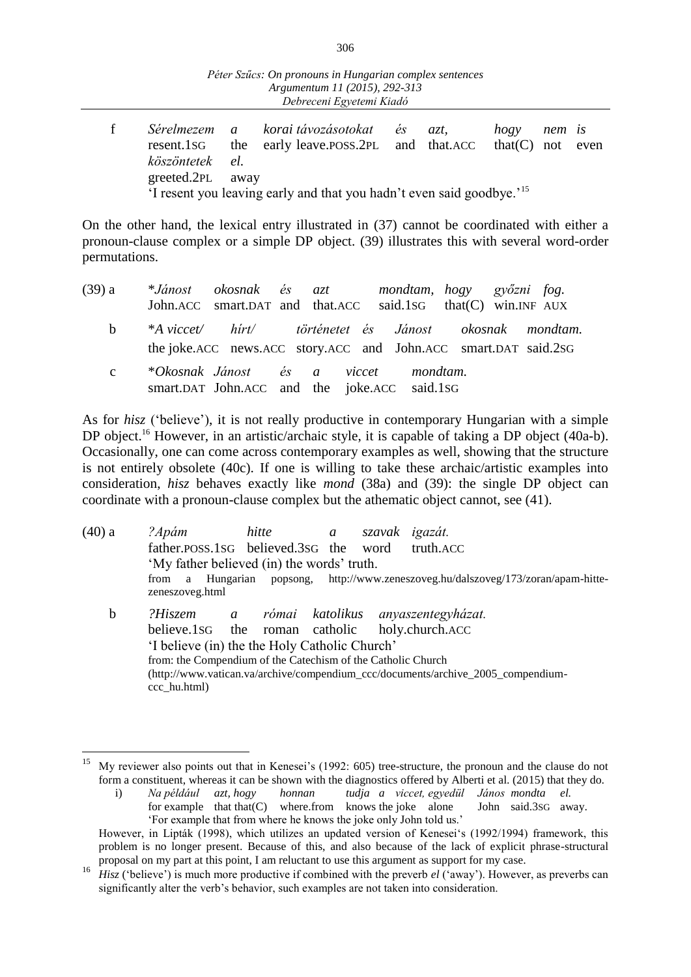| Péter Szűcs: On pronouns in Hungarian complex sentences<br>Argumentum 11 (2015), 292-313<br>Debreceni Egyetemi Kiadó |                                      |                                                             |  |     |                        |        |      |  |  |  |
|----------------------------------------------------------------------------------------------------------------------|--------------------------------------|-------------------------------------------------------------|--|-----|------------------------|--------|------|--|--|--|
| Sérelmezem<br>resent.1sG<br>köszöntetek<br>greeted.2PL                                                               | $\overline{a}$<br>the<br>el.<br>away | korai távozásotokat és<br>early leave.poss.2pl and that.ACC |  | azt | hogy<br>that $(C)$ not | nem is | even |  |  |  |

'I resent you leaving early and that you hadn't even said goodbye.'<sup>15</sup>

On the other hand, the lexical entry illustrated in (37) cannot be coordinated with either a pronoun-clause complex or a simple DP object. (39) illustrates this with several word-order permutations.

| (39) a       | *Jánost okosnak és azt mondtam, hogy győzni fog.<br>John.ACC smart.DAT and that.ACC said.1sG that(C) win.INF AUX          |                                              |  |  |  |  |
|--------------|---------------------------------------------------------------------------------------------------------------------------|----------------------------------------------|--|--|--|--|
| b.           | *A viccet/ hirt/ történetet és Jánost okosnak mondtam.<br>the joke.ACC news.ACC story.ACC and John.ACC smart.DAT said.2sG |                                              |  |  |  |  |
| $\mathbf{c}$ | *Okosnak Jánost és a viccet mondtam.                                                                                      | smart.DAT John.ACC and the joke.ACC said.1sG |  |  |  |  |

As for *hisz* ('believe'), it is not really productive in contemporary Hungarian with a simple DP object.<sup>16</sup> However, in an artistic/archaic style, it is capable of taking a DP object (40a-b). Occasionally, one can come across contemporary examples as well, showing that the structure is not entirely obsolete (40c). If one is willing to take these archaic/artistic examples into consideration, *hisz* behaves exactly like *mond* (38a) and (39): the single DP object can coordinate with a pronoun-clause complex but the athematic object cannot, see (41).

| $(40)$ a    | ?Apám                                          |                                                                                                | hitte | $\mathfrak{a}$ |  | szavak igazát.                     |  |  |  |  |
|-------------|------------------------------------------------|------------------------------------------------------------------------------------------------|-------|----------------|--|------------------------------------|--|--|--|--|
|             | father.poss.1sG believed.3sG the word          |                                                                                                |       |                |  | truth.ACC                          |  |  |  |  |
|             | 'My father believed (in) the words' truth.     |                                                                                                |       |                |  |                                    |  |  |  |  |
|             | a<br>from                                      | Hungarian popsong, http://www.zeneszoveg.hu/dalszoveg/173/zoran/apam-hitte-<br>zeneszoveg.html |       |                |  |                                    |  |  |  |  |
| $\mathbf b$ | ?Hiszem                                        | $\mathfrak{a}$                                                                                 |       |                |  | római katolikus anyaszentegyházat. |  |  |  |  |
|             | believe.1sG the roman catholic holy.church.ACC |                                                                                                |       |                |  |                                    |  |  |  |  |
|             |                                                | 'I believe (in) the the Holy Catholic Church'                                                  |       |                |  |                                    |  |  |  |  |
|             |                                                | from: the Compendium of the Catechism of the Catholic Church                                   |       |                |  |                                    |  |  |  |  |
|             |                                                | (http://www.vatican.va/archive/compendium_ccc/documents/archive_2005_compendium-               |       |                |  |                                    |  |  |  |  |
|             | ccc hu.html)                                   |                                                                                                |       |                |  |                                    |  |  |  |  |

 $\overline{a}$ 

My reviewer also points out that in Kenesei's (1992: 605) tree-structure, the pronoun and the clause do not form a constituent, whereas it can be shown with the diagnostics offered by Alberti et al. (2015) that they do.

i) *Na például azt, hogy honnan tudja a viccet, egyedül János mondta el.* for example that that  $(C)$  where.from knows the joke alone 'For example that from where he knows the joke only John told us.'

However, in Lipták (1998), which utilizes an updated version of Kenesei's (1992/1994) framework, this problem is no longer present. Because of this, and also because of the lack of explicit phrase-structural proposal on my part at this point, I am reluctant to use this argument as support for my case.

*Hisz* ('believe') is much more productive if combined with the preverb *el* ('away'). However, as preverbs can significantly alter the verb's behavior, such examples are not taken into consideration.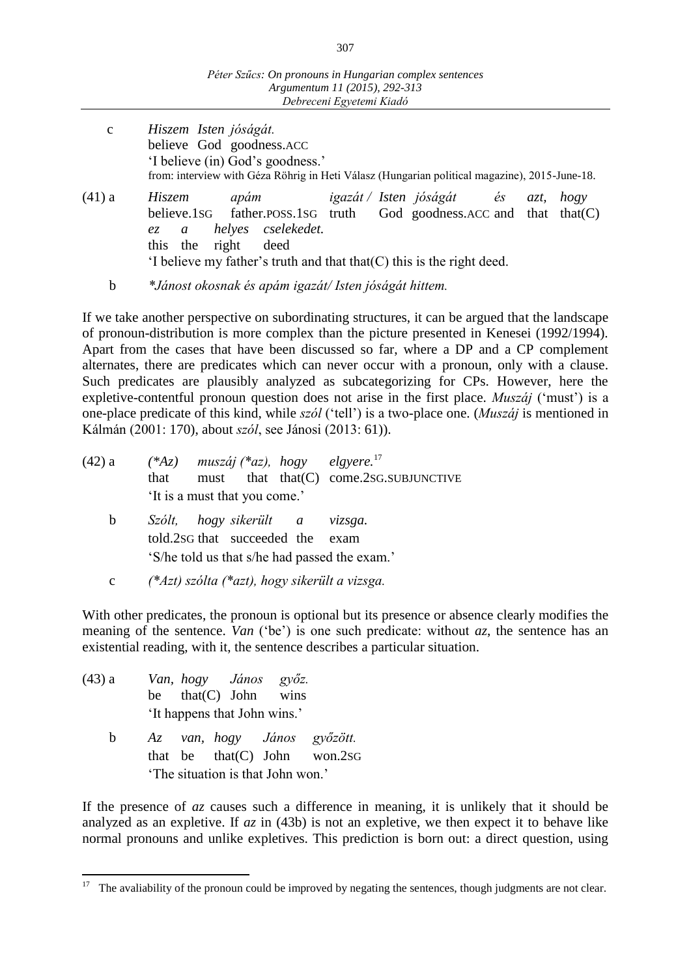- c *Hiszem Isten jóságát.* believe God goodness.ACC 'I believe (in) God's goodness.' from: interview with Géza Röhrig in Heti Válasz (Hungarian political magazine), 2015-June-18.
- (41) a *Hiszem apám igazát / Isten jóságát és azt, hogy*  believe.1sG father.poss.1sG truth God goodness.ACC and that that(C) *ez a helyes cselekedet.* this the right deed  $\mathcal{L}$  is the right deed.

If we take another perspective on subordinating structures, it can be argued that the landscape of pronoun-distribution is more complex than the picture presented in Kenesei (1992/1994). Apart from the cases that have been discussed so far, where a DP and a CP complement alternates, there are predicates which can never occur with a pronoun, only with a clause. Such predicates are plausibly analyzed as subcategorizing for CPs. However, here the expletive-contentful pronoun question does not arise in the first place. *Muszáj* ('must') is a one-place predicate of this kind, while *szól* ('tell') is a two-place one. (*Muszáj* is mentioned in Kálmán (2001: 170), about *szól*, see Jánosi (2013: 61)).

| (42) a | $(*Az)$ muszáj $(*az)$ , hogy elgyere. <sup>17</sup><br>must that that (C) come.2sG.SUBJUNCTIVE<br>that<br>'It is a must that you come.' |
|--------|------------------------------------------------------------------------------------------------------------------------------------------|
| b      | Szólt, hogy-sikerült a vizsga.<br>told.2sG that succeeded the exam<br>'S/he told us that s/he had passed the exam.'                      |
| c      | $(*Azt)$ szólta $(*azt)$ , hogy sikerült a vizsga.                                                                                       |

With other predicates, the pronoun is optional but its presence or absence clearly modifies the meaning of the sentence. *Van* ('be') is one such predicate: without *az*, the sentence has an existential reading, with it, the sentence describes a particular situation.

| (43) a | Van, hogy János győz.        |      |
|--------|------------------------------|------|
|        | be that $(C)$ John           | wins |
|        | 'It happens that John wins.' |      |

 b *Az van, hogy János győzött.* that be that(C) John won.2SG 'The situation is that John won.'

If the presence of *az* causes such a difference in meaning, it is unlikely that it should be analyzed as an expletive. If *az* in (43b) is not an expletive, we then expect it to behave like normal pronouns and unlike expletives. This prediction is born out: a direct question, using

b *\*Jánost okosnak és apám igazát/ Isten jóságát hittem.*

 $\overline{a}$ The avaliability of the pronoun could be improved by negating the sentences, though judgments are not clear.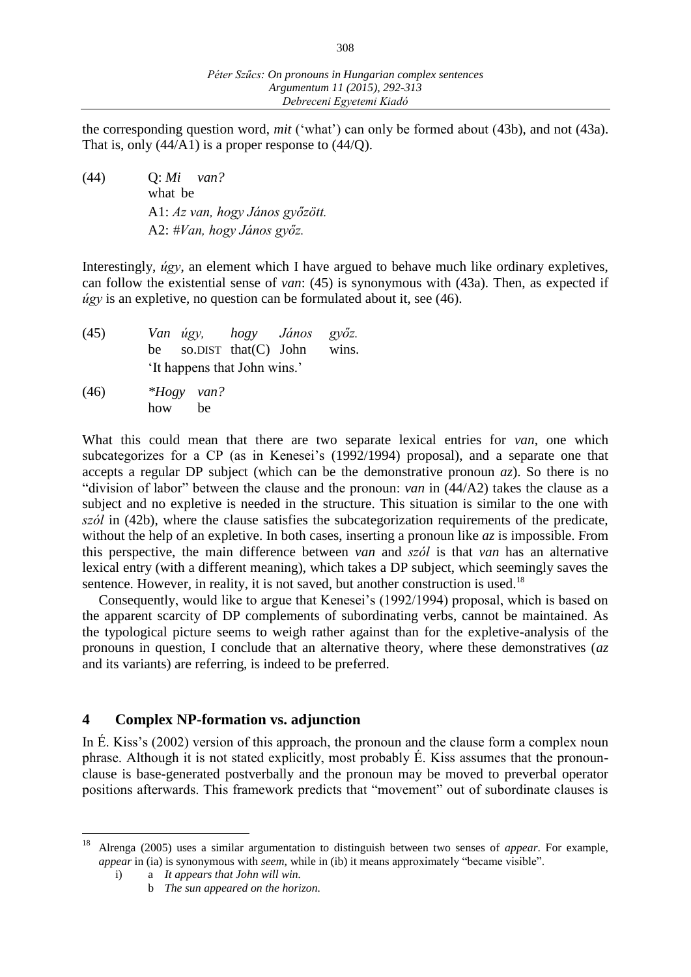the corresponding question word, *mit* ('what') can only be formed about (43b), and not (43a). That is, only  $(44/A1)$  is a proper response to  $(44/Q)$ .

(44) Q: *Mi van?* what be A1: *Az van, hogy János győzött.* A2: *#Van, hogy János győz.*

Interestingly, *úgy*, an element which I have argued to behave much like ordinary expletives, can follow the existential sense of *van*: (45) is synonymous with (43a). Then, as expected if *úgy* is an expletive, no question can be formulated about it, see (46).

| (45) | Van úgy, hogy János győz.        |  |  |
|------|----------------------------------|--|--|
|      | be so.DIST that $(C)$ John wins. |  |  |
|      | 'It happens that John wins.'     |  |  |

(46) *\*Hogy van?* how be

What this could mean that there are two separate lexical entries for *van*, one which subcategorizes for a CP (as in Kenesei's (1992/1994) proposal), and a separate one that accepts a regular DP subject (which can be the demonstrative pronoun  $az$ ). So there is no "division of labor" between the clause and the pronoun: *van* in (44/A2) takes the clause as a subject and no expletive is needed in the structure. This situation is similar to the one with *szól* in (42b), where the clause satisfies the subcategorization requirements of the predicate, without the help of an expletive. In both cases, inserting a pronoun like *az* is impossible. From this perspective, the main difference between *van* and *szól* is that *van* has an alternative lexical entry (with a different meaning), which takes a DP subject, which seemingly saves the sentence. However, in reality, it is not saved, but another construction is used.<sup>18</sup>

Consequently, would like to argue that Kenesei's (1992/1994) proposal, which is based on the apparent scarcity of DP complements of subordinating verbs, cannot be maintained. As the typological picture seems to weigh rather against than for the expletive-analysis of the pronouns in question, I conclude that an alternative theory, where these demonstratives (*az* and its variants) are referring, is indeed to be preferred.

## **4 Complex NP-formation vs. adjunction**

In É. Kiss's (2002) version of this approach, the pronoun and the clause form a complex noun phrase. Although it is not stated explicitly, most probably É. Kiss assumes that the pronounclause is base-generated postverbally and the pronoun may be moved to preverbal operator positions afterwards. This framework predicts that "movement" out of subordinate clauses is

<sup>18</sup> <sup>18</sup> Alrenga (2005) uses a similar argumentation to distinguish between two senses of *appear*. For example, *appear* in (ia) is synonymous with *seem*, while in (ib) it means approximately "became visible".

i) a *It appears that John will win.*

b *The sun appeared on the horizon.*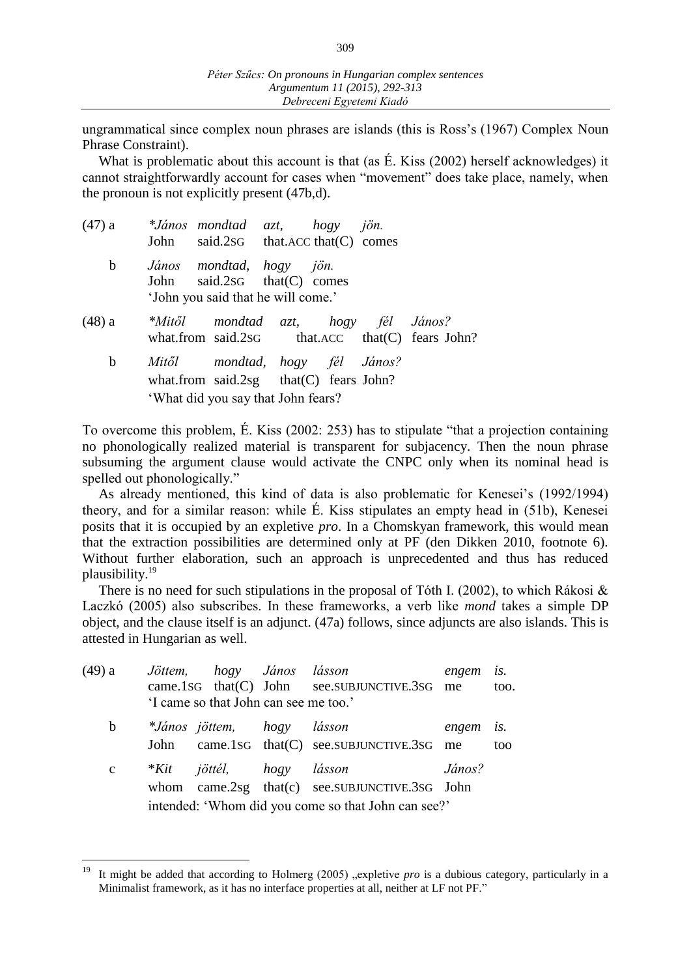ungrammatical since complex noun phrases are islands (this is Ross's (1967) Complex Noun Phrase Constraint).

What is problematic about this account is that (as É. Kiss (2002) herself acknowledges) it cannot straightforwardly account for cases when "movement" does take place, namely, when the pronoun is not explicitly present (47b,d).

|        |             | $(47)$ a $*János$ mondtad azt, hogy jön.<br>John said.2sG that.ACC that(C) comes                                  |  |                                                 |
|--------|-------------|-------------------------------------------------------------------------------------------------------------------|--|-------------------------------------------------|
|        | $\mathbf b$ | János mondtad, hogy jön.<br>John said.2sG that(C) comes<br>'John you said that he will come.'                     |  |                                                 |
| (48) a |             | *Mitől mondtad azt, hogy fél János?                                                                               |  | what.from said.2sG that.ACC that(C) fears John? |
|        | $\mathbf b$ | Mitől mondtad, hogy fél János?<br>what.from said.2sg that $(C)$ fears John?<br>'What did you say that John fears? |  |                                                 |

To overcome this problem, É. Kiss (2002: 253) has to stipulate "that a projection containing no phonologically realized material is transparent for subjacency. Then the noun phrase subsuming the argument clause would activate the CNPC only when its nominal head is spelled out phonologically."

As already mentioned, this kind of data is also problematic for Kenesei's (1992/1994) theory, and for a similar reason: while É. Kiss stipulates an empty head in (51b), Kenesei posits that it is occupied by an expletive *pro*. In a Chomskyan framework, this would mean that the extraction possibilities are determined only at PF (den Dikken 2010, footnote 6). Without further elaboration, such an approach is unprecedented and thus has reduced plausibility.<sup>19</sup>

There is no need for such stipulations in the proposal of Tóth I. (2002), to which Rákosi  $\&$ Laczkó (2005) also subscribes. In these frameworks, a verb like *mond* takes a simple DP object, and the clause itself is an adjunct. (47a) follows, since adjuncts are also islands. This is attested in Hungarian as well.

| (49) a       |                                                     | Jöttem, hogy János lásson             |  |                                                | engem  | is.  |  |  |  |  |  |
|--------------|-----------------------------------------------------|---------------------------------------|--|------------------------------------------------|--------|------|--|--|--|--|--|
|              |                                                     |                                       |  | came.1sG that(C) John see.SUBJUNCTIVE.3sG me   |        | too. |  |  |  |  |  |
|              |                                                     | 'I came so that John can see me too.' |  |                                                |        |      |  |  |  |  |  |
| b            |                                                     | *János jöttem, hogy lásson            |  |                                                | engem  | is.  |  |  |  |  |  |
|              |                                                     |                                       |  | John came.1sG that(C) see.SUBJUNCTIVE.3sG me   |        | too  |  |  |  |  |  |
| $\mathbf{C}$ |                                                     | *Kit jöttél, hogy lásson              |  |                                                | János? |      |  |  |  |  |  |
|              |                                                     |                                       |  | whom came.2sg that(c) see.SUBJUNCTIVE.3sG John |        |      |  |  |  |  |  |
|              | intended: 'Whom did you come so that John can see?' |                                       |  |                                                |        |      |  |  |  |  |  |

<sup>19</sup> It might be added that according to Holmerg (2005) "expletive *pro* is a dubious category, particularly in a Minimalist framework, as it has no interface properties at all, neither at LF not PF."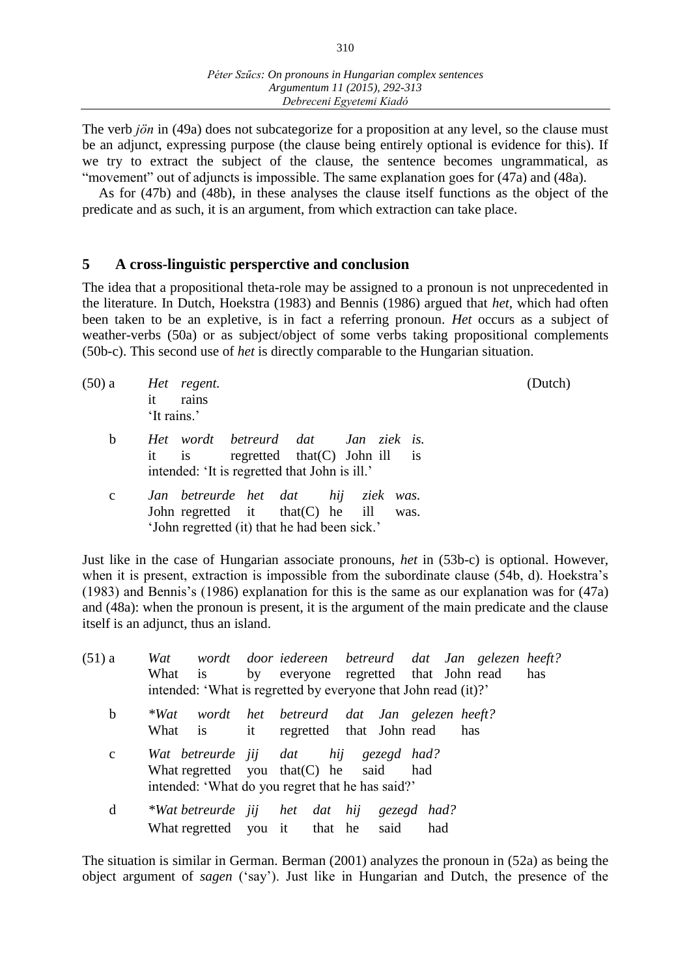The verb *jön* in (49a) does not subcategorize for a proposition at any level, so the clause must be an adjunct, expressing purpose (the clause being entirely optional is evidence for this). If we try to extract the subject of the clause, the sentence becomes ungrammatical, as "movement" out of adjuncts is impossible. The same explanation goes for (47a) and (48a).

As for (47b) and (48b), in these analyses the clause itself functions as the object of the predicate and as such, it is an argument, from which extraction can take place.

#### **5 A cross-linguistic persperctive and conclusion**

The idea that a propositional theta-role may be assigned to a pronoun is not unprecedented in the literature. In Dutch, Hoekstra (1983) and Bennis (1986) argued that *het*, which had often been taken to be an expletive, is in fact a referring pronoun. *Het* occurs as a subject of weather-verbs (50a) or as subject/object of some verbs taking propositional complements (50b-c). This second use of *het* is directly comparable to the Hungarian situation.

| (50) a      | Het regent.<br>rains<br>it<br>'It rains.'                                                                                         | (Dutch) |
|-------------|-----------------------------------------------------------------------------------------------------------------------------------|---------|
| b           | Het wordt betreurd dat Jan ziek is.<br>is regretted that $(C)$ John ill is<br>it<br>intended: 'It is regretted that John is ill.' |         |
| $\mathbf c$ | Jan betreurde het dat hij ziek was.<br>John regretted it $that(C)$ he ill was.<br>'John regretted (it) that he had been sick.'    |         |

Just like in the case of Hungarian associate pronouns, *het* in (53b-c) is optional. However, when it is present, extraction is impossible from the subordinate clause (54b, d). Hoekstra's (1983) and Bennis's (1986) explanation for this is the same as our explanation was for (47a) and (48a): when the pronoun is present, it is the argument of the main predicate and the clause itself is an adjunct, thus an island.

| $(51)$ a    | Wat wordt door iedereen betreurd dat Jan gelezen heeft?        |  |
|-------------|----------------------------------------------------------------|--|
|             | by everyone regretted that John read<br>What is<br>has         |  |
|             | intended: 'What is regretted by everyone that John read (it)?' |  |
| b           | wordt het betreurd dat Jan gelezen-heeft?<br>$*Wat$            |  |
|             | it regretted that John read<br>What is<br>has                  |  |
| $\mathbf c$ | Wat betreurde jij dat hij gezegd had?                          |  |
|             | What regretted you that $(C)$ he said<br>had                   |  |
|             | intended: 'What do you regret that he has said?'               |  |
| d           | *Wat betreurde jij het dat hij gezegd had?                     |  |
|             | What regretted you it that he said<br>had                      |  |

The situation is similar in German. Berman (2001) analyzes the pronoun in (52a) as being the object argument of *sagen* ('say'). Just like in Hungarian and Dutch, the presence of the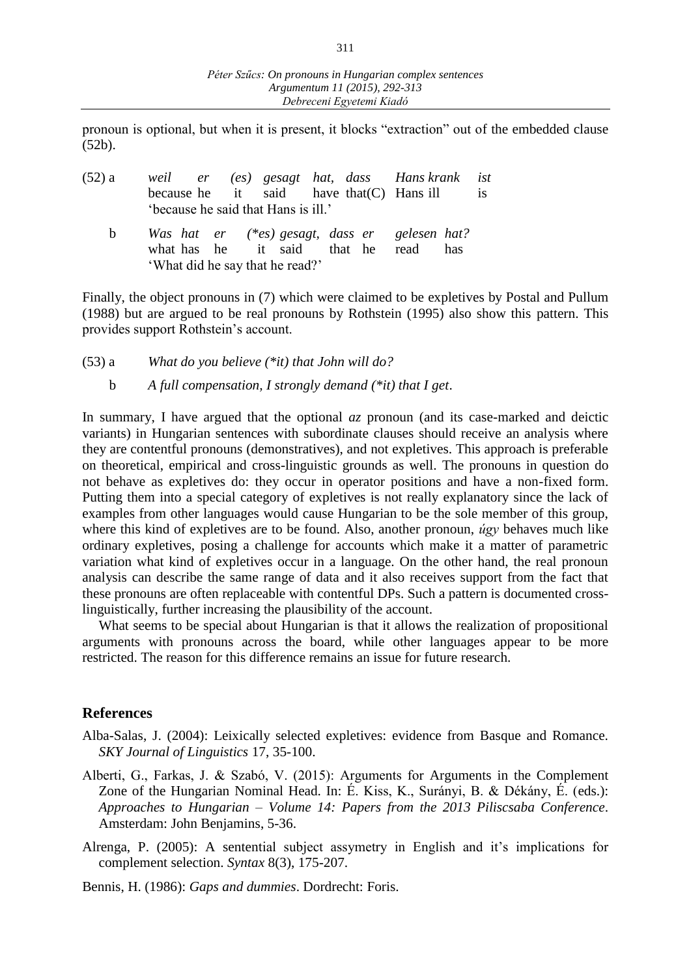pronoun is optional, but when it is present, it blocks "extraction" out of the embedded clause (52b).

| (52) a |  | weil er (es) gesagt hat, dass Hanskrank ist<br>because he $it$ said have that $(C)$ Hans ill                             |  |  | is |
|--------|--|--------------------------------------------------------------------------------------------------------------------------|--|--|----|
|        |  | 'because he said that Hans is ill.'                                                                                      |  |  |    |
| h.     |  | Was hat er (*es) gesagt, dass er gelesen hat?<br>what has he it said that he read has<br>'What did he say that he read?' |  |  |    |

Finally, the object pronouns in (7) which were claimed to be expletives by Postal and Pullum (1988) but are argued to be real pronouns by Rothstein (1995) also show this pattern. This provides support Rothstein's account.

(53) a *What do you believe (\*it) that John will do?*

b *A full compensation, I strongly demand (\*it) that I get*.

In summary, I have argued that the optional *az* pronoun (and its case-marked and deictic variants) in Hungarian sentences with subordinate clauses should receive an analysis where they are contentful pronouns (demonstratives), and not expletives. This approach is preferable on theoretical, empirical and cross-linguistic grounds as well. The pronouns in question do not behave as expletives do: they occur in operator positions and have a non-fixed form. Putting them into a special category of expletives is not really explanatory since the lack of examples from other languages would cause Hungarian to be the sole member of this group, where this kind of expletives are to be found. Also, another pronoun, *úgy* behaves much like ordinary expletives, posing a challenge for accounts which make it a matter of parametric variation what kind of expletives occur in a language. On the other hand, the real pronoun analysis can describe the same range of data and it also receives support from the fact that these pronouns are often replaceable with contentful DPs. Such a pattern is documented crosslinguistically, further increasing the plausibility of the account.

What seems to be special about Hungarian is that it allows the realization of propositional arguments with pronouns across the board, while other languages appear to be more restricted. The reason for this difference remains an issue for future research.

#### **References**

- Alba-Salas, J. (2004): Leixically selected expletives: evidence from Basque and Romance. *SKY Journal of Linguistics* 17, 35-100.
- Alberti, G., Farkas, J. & Szabó, V. (2015): Arguments for Arguments in the Complement Zone of the Hungarian Nominal Head. In: É. Kiss, K., Surányi, B. & Dékány, É. (eds.): *Approaches to Hungarian ‒ Volume 14: Papers from the 2013 Piliscsaba Conference*. Amsterdam: John Benjamins, 5-36.
- Alrenga, P. (2005): A sentential subject assymetry in English and it's implications for complement selection. *Syntax* 8(3), 175-207.

Bennis, H. (1986): *Gaps and dummies*. Dordrecht: Foris.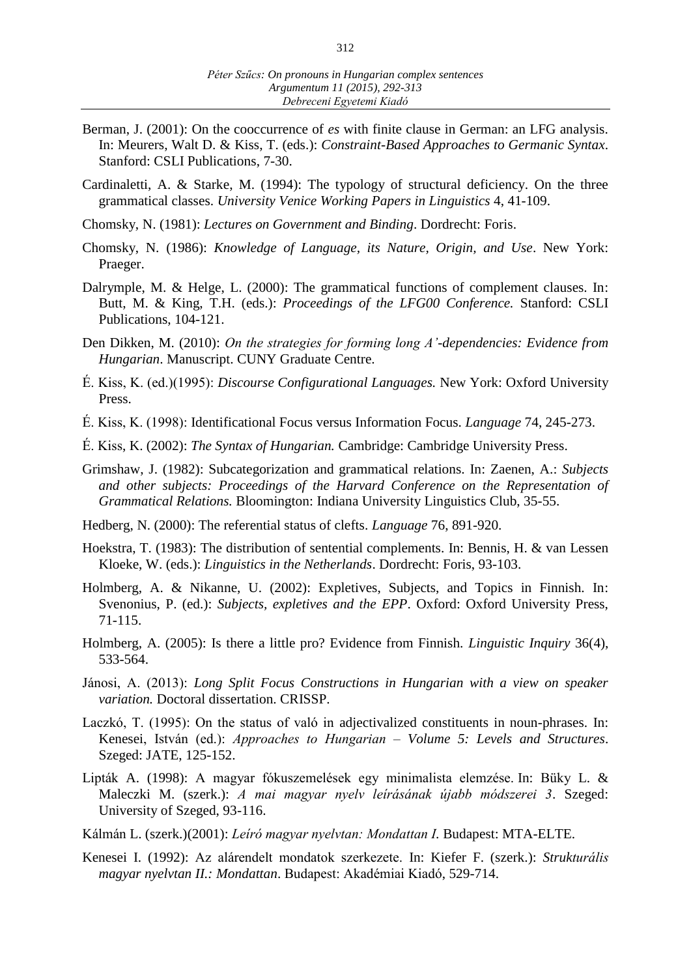- Berman, J. (2001): On the cooccurrence of *es* with finite clause in German: an LFG analysis. In: Meurers, Walt D. & Kiss, T. (eds.): *Constraint-Based Approaches to Germanic Syntax*. Stanford: CSLI Publications, 7-30.
- Cardinaletti, A. & Starke, M. (1994): The typology of structural deficiency. On the three grammatical classes. *University Venice Working Papers in Linguistics* 4, 41-109.
- Chomsky, N. (1981): *Lectures on Government and Binding*. Dordrecht: Foris.
- Chomsky, N. (1986): *Knowledge of Language, its Nature, Origin, and Use*. New York: Praeger.
- Dalrymple, M. & Helge, L. (2000): The grammatical functions of complement clauses. In: Butt, M. & King, T.H. (eds.): *Proceedings of the LFG00 Conference.* Stanford: CSLI Publications, 104-121.
- Den Dikken, M. (2010): *On the strategies for forming long A'-dependencies: Evidence from Hungarian*. Manuscript. CUNY Graduate Centre.
- É. Kiss, K. (ed.)(1995): *Discourse Configurational Languages.* New York: Oxford University Press.
- É. Kiss, K. (1998): Identificational Focus versus Information Focus. *Language* 74, 245-273.
- É. Kiss, K. (2002): *The Syntax of Hungarian.* Cambridge: Cambridge University Press.
- Grimshaw, J. (1982): Subcategorization and grammatical relations. In: Zaenen, A.: *Subjects and other subjects: Proceedings of the Harvard Conference on the Representation of Grammatical Relations.* Bloomington: Indiana University Linguistics Club, 35-55.
- Hedberg, N. (2000): The referential status of clefts. *Language* 76, 891-920.
- Hoekstra, T. (1983): The distribution of sentential complements. In: Bennis, H. & van Lessen Kloeke, W. (eds.): *Linguistics in the Netherlands*. Dordrecht: Foris, 93-103.
- Holmberg, A. & Nikanne, U. (2002): Expletives, Subjects, and Topics in Finnish. In: Svenonius, P. (ed.): *Subjects, expletives and the EPP*. Oxford: Oxford University Press, 71-115.
- Holmberg, A. (2005): Is there a little pro? Evidence from Finnish. *Linguistic Inquiry* 36(4), 533-564.
- Jánosi, A. (2013): *Long Split Focus Constructions in Hungarian with a view on speaker variation.* Doctoral dissertation. CRISSP.
- Laczkó, T. (1995): On the status of való in adjectivalized constituents in noun-phrases. In: Kenesei, István (ed.): *Approaches to Hungarian ‒ Volume 5: Levels and Structures*. Szeged: JATE, 125-152.
- Lipták A. (1998): A magyar fókuszemelések egy minimalista elemzése. In: Büky L. & Maleczki M. (szerk.): *A mai magyar nyelv leírásának újabb módszerei 3*. Szeged: University of Szeged, 93-116.
- Kálmán L. (szerk.)(2001): *Leíró magyar nyelvtan: Mondattan I.* Budapest: MTA-ELTE.
- Kenesei I. (1992): Az alárendelt mondatok szerkezete. In: Kiefer F. (szerk.): *Strukturális magyar nyelvtan II.: Mondattan*. Budapest: Akadémiai Kiadó, 529-714.